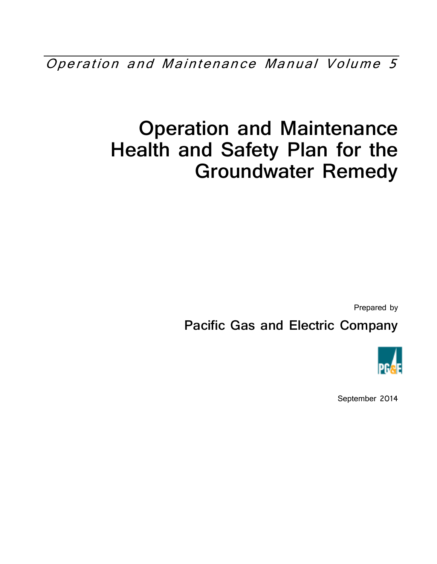Operation and Maintenance Manual Volume 5

# **Operation and Maintenance Health and Safety Plan for the Groundwater Remedy**

Prepared by

**Pacific Gas and Electric Company** 



September 2014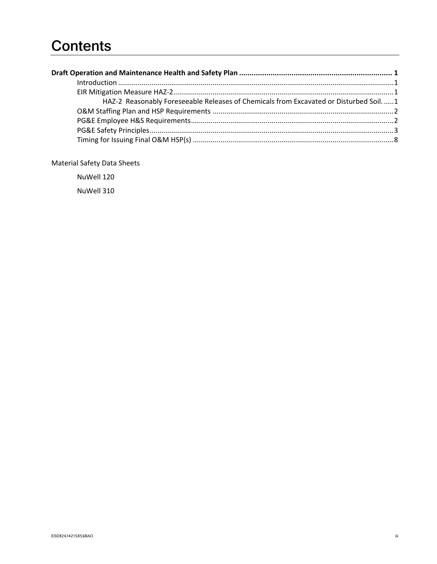## **Contents**

| HAZ-2 Reasonably Foreseeable Releases of Chemicals from Excavated or Disturbed Soil.  1 |  |
|-----------------------------------------------------------------------------------------|--|
|                                                                                         |  |
|                                                                                         |  |
|                                                                                         |  |
|                                                                                         |  |
|                                                                                         |  |

 $\ddot{\text{III}}$ 

**Material Safety Data Sheets** 

NuWell 120

NuWell 310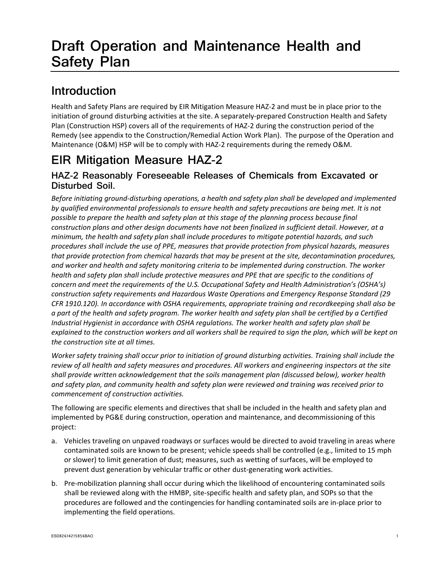## **Draft Operation and Maintenance Health and Safety Plan**

## **Introduction**

Health and Safety Plans are required by EIR Mitigation Measure HAZ‐2 and must be in place prior to the initiation of ground disturbing activities at the site. A separately‐prepared Construction Health and Safety Plan (Construction HSP) covers all of the requirements of HAZ‐2 during the construction period of the Remedy (see appendix to the Construction/Remedial Action Work Plan). The purpose of the Operation and Maintenance (O&M) HSP will be to comply with HAZ‐2 requirements during the remedy O&M.

## **EIR Mitigation Measure HAZ-2**

### **HAZ-2 Reasonably Foreseeable Releases of Chemicals from Excavated or Disturbed Soil.**

*Before initiating ground‐disturbing operations, a health and safety plan shall be developed and implemented by qualified environmental professionals to ensure health and safety precautions are being met. It is not possible to prepare the health and safety plan at this stage of the planning process because final construction plans and other design documents have not been finalized in sufficient detail. However, at a minimum, the health and safety plan shall include procedures to mitigate potential hazards, and such procedures shall include the use of PPE, measures that provide protection from physical hazards, measures that provide protection from chemical hazards that may be present at the site, decontamination procedures, and worker and health and safety monitoring criteria to be implemented during construction. The worker health and safety plan shall include protective measures and PPE that are specific to the conditions of concern and meet the requirements of the U.S. Occupational Safety and Health Administration's (OSHA's) construction safety requirements and Hazardous Waste Operations and Emergency Response Standard (29 CFR 1910.120). In accordance with OSHA requirements, appropriate training and recordkeeping shall also be* a part of the health and safety program. The worker health and safety plan shall be certified by a Certified *Industrial Hygienist in accordance with OSHA regulations. The worker health and safety plan shall be* explained to the construction workers and all workers shall be required to sign the plan, which will be kept on *the construction site at all times.*

Worker safety training shall occur prior to initiation of ground disturbing activities. Training shall include the review of all health and safety measures and procedures. All workers and engineering inspectors at the site *shall provide written acknowledgement that the soils management plan (discussed below), worker health and safety plan, and community health and safety plan were reviewed and training was received prior to commencement of construction activities.*

The following are specific elements and directives that shall be included in the health and safety plan and implemented by PG&E during construction, operation and maintenance, and decommissioning of this project:

- a. Vehicles traveling on unpaved roadways or surfaces would be directed to avoid traveling in areas where contaminated soils are known to be present; vehicle speeds shall be controlled (e.g., limited to 15 mph or slower) to limit generation of dust; measures, such as wetting of surfaces, will be employed to prevent dust generation by vehicular traffic or other dust‐generating work activities.
- b. Pre-mobilization planning shall occur during which the likelihood of encountering contaminated soils shall be reviewed along with the HMBP, site-specific health and safety plan, and SOPs so that the procedures are followed and the contingencies for handling contaminated soils are in‐place prior to implementing the field operations.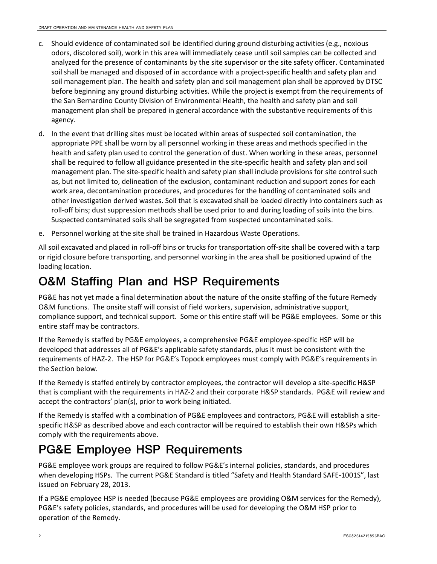- c. Should evidence of contaminated soil be identified during ground disturbing activities (e.g., noxious odors, discolored soil), work in this area will immediately cease until soil samples can be collected and analyzed for the presence of contaminants by the site supervisor or the site safety officer. Contaminated soil shall be managed and disposed of in accordance with a project-specific health and safety plan and soil management plan. The health and safety plan and soil management plan shall be approved by DTSC before beginning any ground disturbing activities. While the project is exempt from the requirements of the San Bernardino County Division of Environmental Health, the health and safety plan and soil management plan shall be prepared in general accordance with the substantive requirements of this agency.
- d. In the event that drilling sites must be located within areas of suspected soil contamination, the appropriate PPE shall be worn by all personnel working in these areas and methods specified in the health and safety plan used to control the generation of dust. When working in these areas, personnel shall be required to follow all guidance presented in the site‐specific health and safety plan and soil management plan. The site‐specific health and safety plan shall include provisions for site control such as, but not limited to, delineation of the exclusion, contaminant reduction and support zones for each work area, decontamination procedures, and procedures for the handling of contaminated soils and other investigation derived wastes. Soil that is excavated shall be loaded directly into containers such as roll‐off bins; dust suppression methods shall be used prior to and during loading of soils into the bins. Suspected contaminated soils shall be segregated from suspected uncontaminated soils.
- e. Personnel working at the site shall be trained in Hazardous Waste Operations.

All soil excavated and placed in roll‐off bins or trucks for transportation off‐site shall be covered with a tarp or rigid closure before transporting, and personnel working in the area shall be positioned upwind of the loading location.

## **O&M Staffing Plan and HSP Requirements**

PG&E has not yet made a final determination about the nature of the onsite staffing of the future Remedy O&M functions. The onsite staff will consist of field workers, supervision, administrative support, compliance support, and technical support. Some or this entire staff will be PG&E employees. Some or this entire staff may be contractors.

If the Remedy is staffed by PG&E employees, a comprehensive PG&E employee‐specific HSP will be developed that addresses all of PG&E's applicable safety standards, plus it must be consistent with the requirements of HAZ‐2. The HSP for PG&E's Topock employees must comply with PG&E's requirements in the Section below.

If the Remedy is staffed entirely by contractor employees, the contractor will develop a site‐specific H&SP that is compliant with the requirements in HAZ‐2 and their corporate H&SP standards. PG&E will review and accept the contractors' plan(s), prior to work being initiated.

If the Remedy is staffed with a combination of PG&E employees and contractors, PG&E will establish a site‐ specific H&SP as described above and each contractor will be required to establish their own H&SPs which comply with the requirements above.

## **PG&E Employee HSP Requirements**

PG&E employee work groups are required to follow PG&E's internal policies, standards, and procedures when developing HSPs. The current PG&E Standard is titled "Safety and Health Standard SAFE‐1001S", last issued on February 28, 2013.

If a PG&E employee HSP is needed (because PG&E employees are providing O&M services for the Remedy), PG&E's safety policies, standards, and procedures will be used for developing the O&M HSP prior to operation of the Remedy.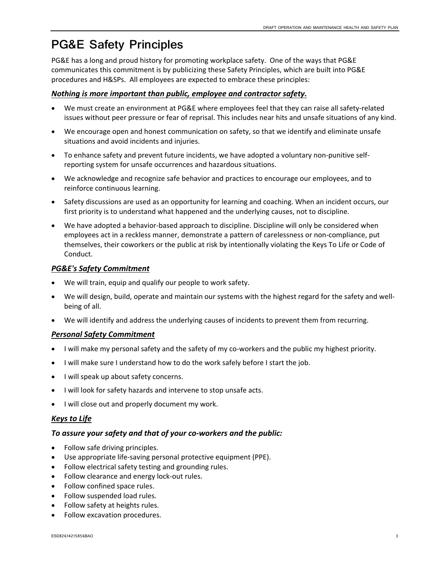## **PG&E Safety Principles**

PG&E has a long and proud history for promoting workplace safety. One of the ways that PG&E communicates this commitment is by publicizing these Safety Principles, which are built into PG&E procedures and H&SPs. All employees are expected to embrace these principles:

#### *Nothing is more important than public, employee and contractor safety.*

- We must create an environment at PG&E where employees feel that they can raise all safety‐related issues without peer pressure or fear of reprisal. This includes near hits and unsafe situations of any kind.
- We encourage open and honest communication on safety, so that we identify and eliminate unsafe situations and avoid incidents and injuries.
- To enhance safety and prevent future incidents, we have adopted a voluntary non-punitive selfreporting system for unsafe occurrences and hazardous situations.
- We acknowledge and recognize safe behavior and practices to encourage our employees, and to reinforce continuous learning.
- Safety discussions are used as an opportunity for learning and coaching. When an incident occurs, our first priority is to understand what happened and the underlying causes, not to discipline.
- We have adopted a behavior-based approach to discipline. Discipline will only be considered when employees act in a reckless manner, demonstrate a pattern of carelessness or non‐compliance, put themselves, their coworkers or the public at risk by intentionally violating the Keys To Life or Code of Conduct.

### *PG&E's Safety Commitment*

- We will train, equip and qualify our people to work safety.
- We will design, build, operate and maintain our systems with the highest regard for the safety and wellbeing of all.
- We will identify and address the underlying causes of incidents to prevent them from recurring.

#### *Personal Safety Commitment*

- I will make my personal safety and the safety of my co-workers and the public my highest priority.
- I will make sure I understand how to do the work safely before I start the job.
- I will speak up about safety concerns.
- I will look for safety hazards and intervene to stop unsafe acts.
- I will close out and properly document my work.

### *Keys to Life*

#### *To assure your safety and that of your co‐workers and the public:*

- Follow safe driving principles.
- Use appropriate life‐saving personal protective equipment (PPE).
- Follow electrical safety testing and grounding rules.
- Follow clearance and energy lock-out rules.
- Follow confined space rules.
- Follow suspended load rules.
- Follow safety at heights rules.
- Follow excavation procedures.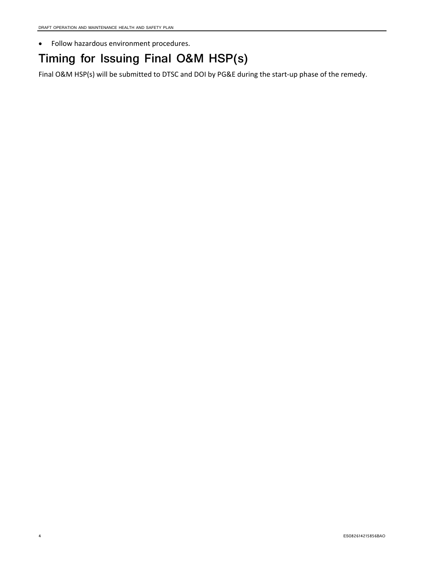Follow hazardous environment procedures.

## **Timing for Issuing Final O&M HSP(s)**

Final O&M HSP(s) will be submitted to DTSC and DOI by PG&E during the start-up phase of the remedy.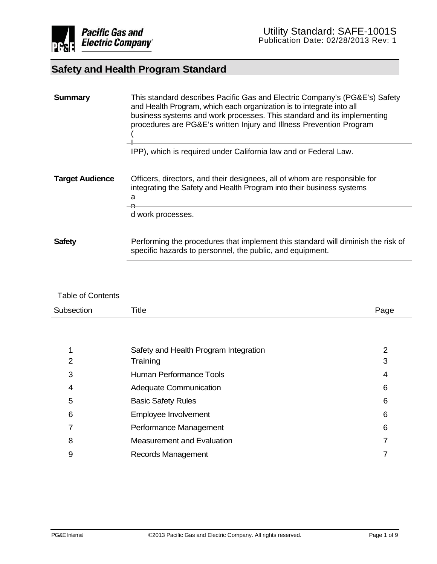| <b>Summary</b>         | This standard describes Pacific Gas and Electric Company's (PG&E's) Safety<br>and Health Program, which each organization is to integrate into all<br>business systems and work processes. This standard and its implementing<br>procedures are PG&E's written Injury and Illness Prevention Program |  |  |  |
|------------------------|------------------------------------------------------------------------------------------------------------------------------------------------------------------------------------------------------------------------------------------------------------------------------------------------------|--|--|--|
|                        | IPP), which is required under California law and or Federal Law.                                                                                                                                                                                                                                     |  |  |  |
| <b>Target Audience</b> | Officers, directors, and their designees, all of whom are responsible for<br>integrating the Safety and Health Program into their business systems<br>a                                                                                                                                              |  |  |  |
|                        | —n<br>d work processes.                                                                                                                                                                                                                                                                              |  |  |  |
| <b>Safety</b>          | Performing the procedures that implement this standard will diminish the risk of<br>specific hazards to personnel, the public, and equipment.                                                                                                                                                        |  |  |  |

#### Table of Contents

| Subsection | Title | 20 H |
|------------|-------|------|
|            |       |      |

| $\mathbf 1$    | Safety and Health Program Integration |   |
|----------------|---------------------------------------|---|
| $\overline{2}$ | Training                              |   |
| 3              | Human Performance Tools               |   |
| $\overline{4}$ | <b>Adequate Communication</b>         | 6 |
| 5              | <b>Basic Safety Rules</b>             | 6 |
| 6              | Employee Involvement                  | 6 |
| $\overline{7}$ | Performance Management                | 6 |
| 8              | <b>Measurement and Evaluation</b>     |   |
| 9              | Records Management                    |   |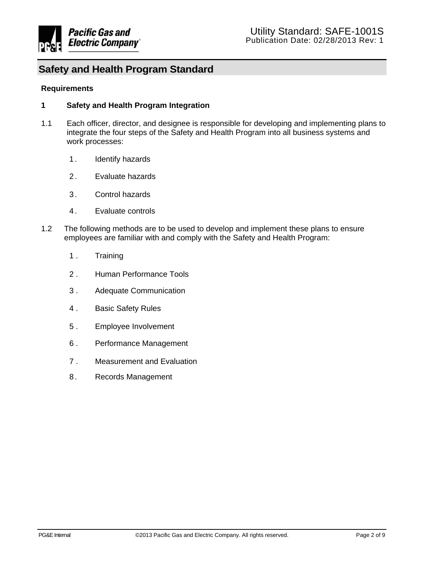

#### **Requirements**

#### **1 Safety and Health Program Integration**

- 1.1 Each officer, director, and designee is responsible for developing and implementing plans to integrate the four steps of the Safety and Health Program into all business systems and work processes:
	- 1. Identify hazards
	- 2 . Evaluate hazards
	- 3 . Control hazards
	- 4 . Evaluate controls
- 1.2 The following methods are to be used to develop and implement these plans to ensure employees are familiar with and comply with the Safety and Health Program:
	- 1 . Training
	- 2 . Human Performance Tools
	- 3 . Adequate Communication
	- 4 . Basic Safety Rules
	- 5 . Employee Involvement
	- 6 . Performance Management
	- 7 . Measurement and Evaluation
	- 8. Records Management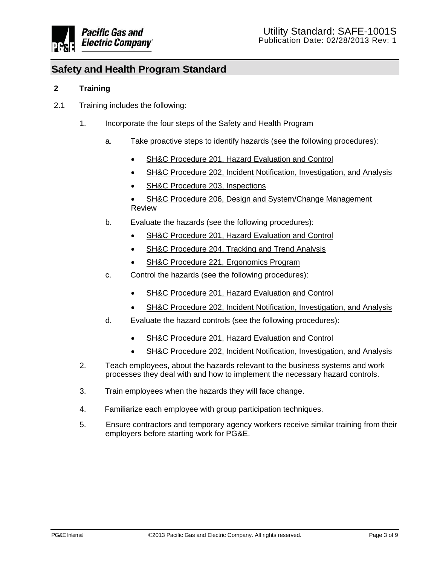

#### **2 Training**

- 2.1 Training includes the following:
	- 1. Incorporate the four steps of the Safety and Health Program
		- a. Take proactive steps to identify hazards (see the following procedures):
			- SH&C Procedure 201, Hazard Evaluation and Control
			- SH&C Procedure 202, Incident Notification, Investigation, and Analysis
			- SH&C Procedure 203, Inspections
			- SH&C Procedure 206, Design and System/Change Management Review
		- b. Evaluate the hazards (see the following procedures):
			- SH&C Procedure 201, Hazard Evaluation and Control
			- SH&C Procedure 204, Tracking and Trend Analysis
			- SH&C Procedure 221, Ergonomics Program
		- c. Control the hazards (see the following procedures):
			- SH&C Procedure 201, Hazard Evaluation and Control
			- SH&C Procedure 202, Incident Notification, Investigation, and Analysis
		- d. Evaluate the hazard controls (see the following procedures):
			- SH&C Procedure 201, Hazard Evaluation and Control
			- SH&C Procedure 202, Incident Notification, Investigation, and Analysis
	- 2. Teach employees, about the hazards relevant to the business systems and work processes they deal with and how to implement the necessary hazard controls.
	- 3. Train employees when the hazards they will face change.
	- 4. Familiarize each employee with group participation techniques.
	- 5. Ensure contractors and temporary agency workers receive similar training from their employers before starting work for PG&E.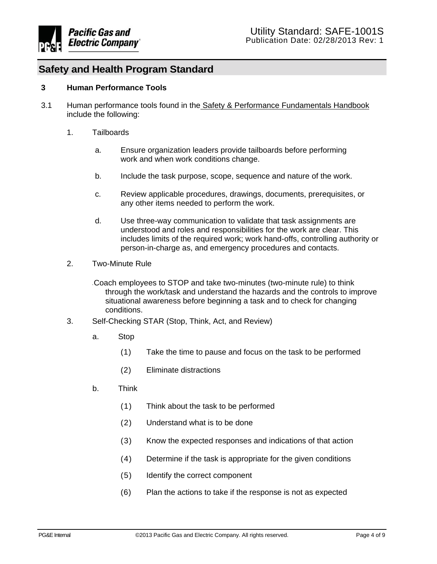

#### **3 Human Performance Tools**

- 3.1 Human performance tools found in the Safety & Performance Fundamentals Handbook include the following:
	- 1. Tailboards
		- a. Ensure organization leaders provide tailboards before performing work and when work conditions change.
		- b. Include the task purpose, scope, sequence and nature of the work.
		- c. Review applicable procedures, drawings, documents, prerequisites, or any other items needed to perform the work.
		- d. Use three-way communication to validate that task assignments are understood and roles and responsibilities for the work are clear. This includes limits of the required work; work hand-offs, controlling authority or person-in-charge as, and emergency procedures and contacts.
	- 2. Two-Minute Rule

• Coach employees to STOP and take two-minutes (two-minute rule) to think through the work/task and understand the hazards and the controls to improve situational awareness before beginning a task and to check for changing conditions.

- 3. Self-Checking STAR (Stop, Think, Act, and Review)
	- a. Stop
		- (1) Take the time to pause and focus on the task to be performed
		- (2) Eliminate distractions
	- b. Think
		- (1) Think about the task to be performed
		- (2) Understand what is to be done
		- (3) Know the expected responses and indications of that action
		- (4) Determine if the task is appropriate for the given conditions
		- (5) Identify the correct component
		- (6) Plan the actions to take if the response is not as expected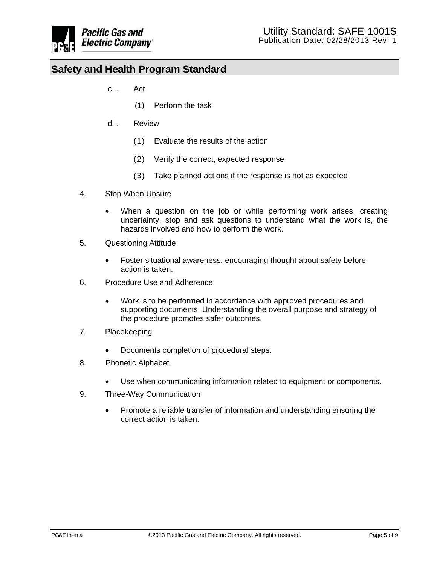

- c. Act
	- (1) Perform the task
- d. Review
	- (1) Evaluate the results of the action
	- (2) Verify the correct, expected response
	- (3) Take planned actions if the response is not as expected
- 4. Stop When Unsure
	- When a question on the job or while performing work arises, creating uncertainty, stop and ask questions to understand what the work is, the hazards involved and how to perform the work.
- 5. Questioning Attitude
	- Foster situational awareness, encouraging thought about safety before action is taken.
- 6. Procedure Use and Adherence
	- Work is to be performed in accordance with approved procedures and supporting documents. Understanding the overall purpose and strategy of the procedure promotes safer outcomes.
- 7. Placekeeping
	- Documents completion of procedural steps.
- 8. Phonetic Alphabet
	- Use when communicating information related to equipment or components.
- 9. Three-Way Communication
	- Promote a reliable transfer of information and understanding ensuring the correct action is taken.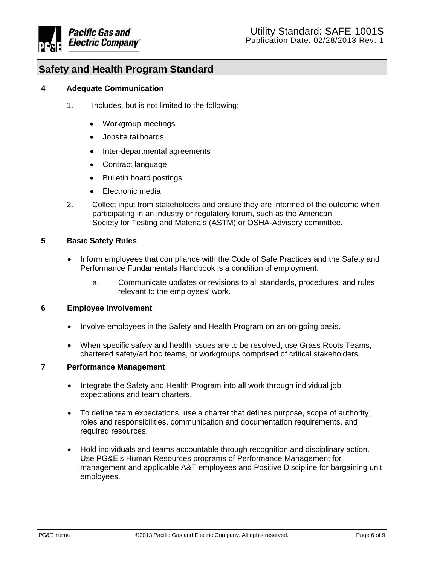

#### **4 Adequate Communication**

- 1. Includes, but is not limited to the following:
	- Workgroup meetings
	- Jobsite tailboards
	- Inter-departmental agreements
	- Contract language
	- Bulletin board postings
	- Electronic media
- 2. Collect input from stakeholders and ensure they are informed of the outcome when participating in an industry or regulatory forum, such as the American Society for Testing and Materials (ASTM) or OSHA-Advisory committee.

#### **5 Basic Safety Rules**

- Inform employees that compliance with the Code of Safe Practices and the Safety and Performance Fundamentals Handbook is a condition of employment.
	- a. Communicate updates or revisions to all standards, procedures, and rules relevant to the employees' work.

#### **6 Employee Involvement**

- Involve employees in the Safety and Health Program on an on-going basis.
- When specific safety and health issues are to be resolved, use Grass Roots Teams, chartered safety/ad hoc teams, or workgroups comprised of critical stakeholders.

#### **7 Performance Management**

- Integrate the Safety and Health Program into all work through individual job expectations and team charters.
- To define team expectations, use a charter that defines purpose, scope of authority, roles and responsibilities, communication and documentation requirements, and required resources.
- Hold individuals and teams accountable through recognition and disciplinary action. Use PG&E's Human Resources programs of Performance Management for management and applicable A&T employees and Positive Discipline for bargaining unit employees.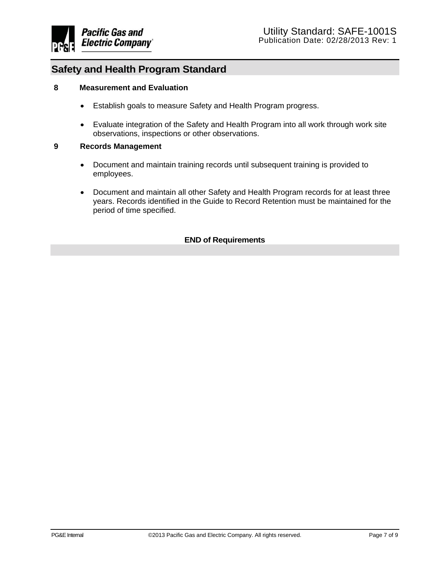

#### **8 Measurement and Evaluation**

- Establish goals to measure Safety and Health Program progress.
- Evaluate integration of the Safety and Health Program into all work through work site observations, inspections or other observations.

#### **9 Records Management**

- Document and maintain training records until subsequent training is provided to employees.
- Document and maintain all other Safety and Health Program records for at least three years. Records identified in the Guide to Record Retention must be maintained for the period of time specified.

#### **END of Requirements**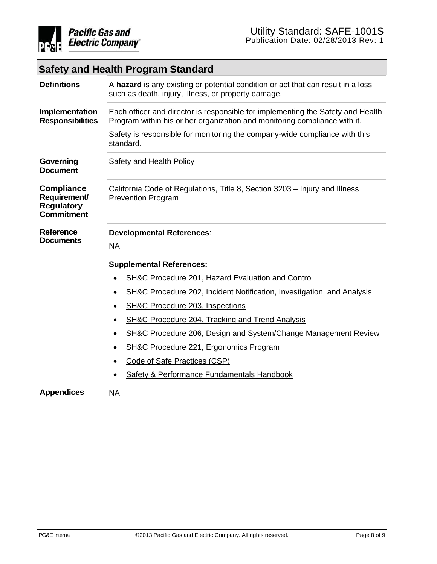

| <b>Definitions</b>                                                          | A hazard is any existing or potential condition or act that can result in a loss<br>such as death, injury, illness, or property damage.                      |  |  |  |  |
|-----------------------------------------------------------------------------|--------------------------------------------------------------------------------------------------------------------------------------------------------------|--|--|--|--|
| Implementation<br><b>Responsibilities</b>                                   | Each officer and director is responsible for implementing the Safety and Health<br>Program within his or her organization and monitoring compliance with it. |  |  |  |  |
|                                                                             | Safety is responsible for monitoring the company-wide compliance with this<br>standard.                                                                      |  |  |  |  |
| Governing<br><b>Document</b>                                                | Safety and Health Policy                                                                                                                                     |  |  |  |  |
| <b>Compliance</b><br>Requirement/<br><b>Regulatory</b><br><b>Commitment</b> | California Code of Regulations, Title 8, Section 3203 - Injury and Illness<br><b>Prevention Program</b>                                                      |  |  |  |  |
| <b>Reference</b><br><b>Documents</b>                                        | <b>Developmental References:</b><br><b>NA</b>                                                                                                                |  |  |  |  |
|                                                                             | <b>Supplemental References:</b>                                                                                                                              |  |  |  |  |
|                                                                             | SH&C Procedure 201, Hazard Evaluation and Control<br>$\bullet$                                                                                               |  |  |  |  |
|                                                                             | <b>SH&amp;C Procedure 202, Incident Notification, Investigation, and Analysis</b><br>$\bullet$                                                               |  |  |  |  |
|                                                                             | SH&C Procedure 203, Inspections                                                                                                                              |  |  |  |  |
|                                                                             | <b>SH&amp;C Procedure 204, Tracking and Trend Analysis</b><br>٠                                                                                              |  |  |  |  |
|                                                                             | SH&C Procedure 206, Design and System/Change Management Review<br>٠                                                                                          |  |  |  |  |
|                                                                             | SH&C Procedure 221, Ergonomics Program<br>$\bullet$                                                                                                          |  |  |  |  |
|                                                                             | Code of Safe Practices (CSP)                                                                                                                                 |  |  |  |  |
|                                                                             | Safety & Performance Fundamentals Handbook<br>$\bullet$                                                                                                      |  |  |  |  |
| <b>Appendices</b>                                                           | <b>NA</b>                                                                                                                                                    |  |  |  |  |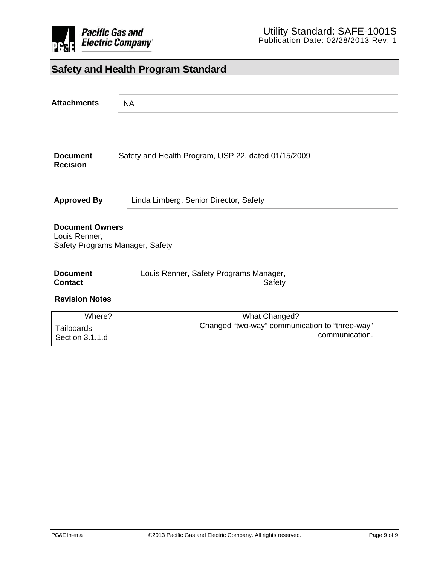

| <b>Attachments</b>                                                         | <b>NA</b>                                           |  |
|----------------------------------------------------------------------------|-----------------------------------------------------|--|
| <b>Document</b><br><b>Recision</b>                                         | Safety and Health Program, USP 22, dated 01/15/2009 |  |
| <b>Approved By</b>                                                         | Linda Limberg, Senior Director, Safety              |  |
| <b>Document Owners</b><br>Louis Renner,<br>Safety Programs Manager, Safety |                                                     |  |
|                                                                            |                                                     |  |
| <b>Document</b><br><b>Contact</b>                                          | Louis Renner, Safety Programs Manager,<br>Safety    |  |
| <b>Revision Notes</b>                                                      |                                                     |  |
| M/here?                                                                    | What Changed?                                       |  |

| Where?          | What Changed?                                  |  |  |
|-----------------|------------------------------------------------|--|--|
| Tailboards-     | Changed "two-way" communication to "three-way" |  |  |
| Section 3.1.1.d | communication.                                 |  |  |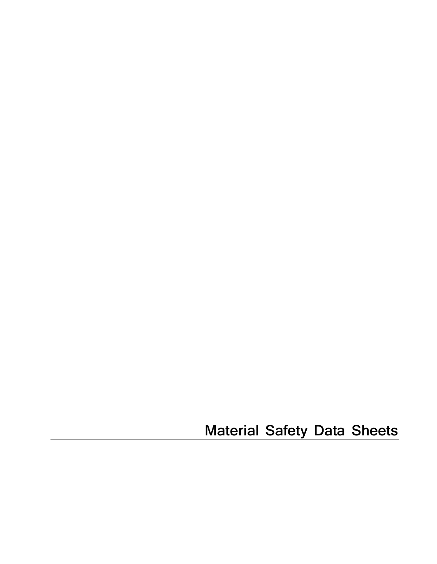**Material Safety Data Sheets**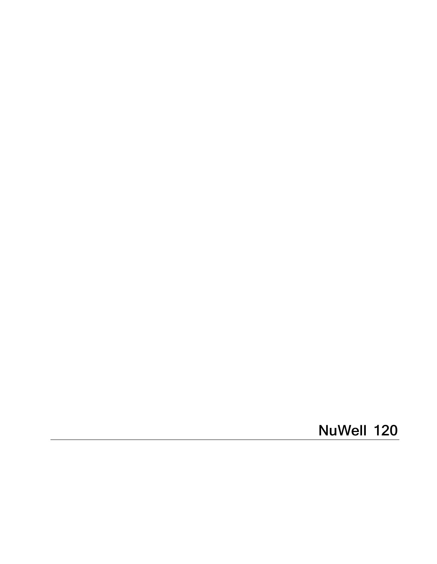NuWell 120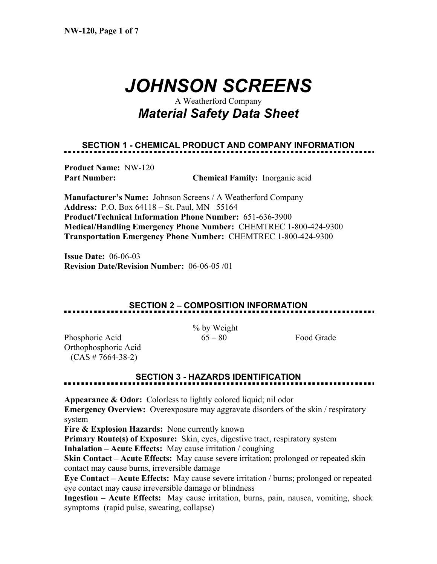# *JOHNSON SCREENS*

## A Weatherford Company *Material Safety Data Sheet*

## **SECTION 1 - CHEMICAL PRODUCT AND COMPANY INFORMATION**

**Product Name:** NW-120

**Part Number: Chemical Family:** Inorganic acid

**Manufacturer's Name:** Johnson Screens / A Weatherford Company **Address:** P.O. Box 64118 – St. Paul, MN 55164 **Product/Technical Information Phone Number:** 651-636-3900 **Medical/Handling Emergency Phone Number:** CHEMTREC 1-800-424-9300 **Transportation Emergency Phone Number:** CHEMTREC 1-800-424-9300

**Issue Date:** 06-06-03 **Revision Date/Revision Number:** 06-06-05 /01

## **SECTION 2 – COMPOSITION INFORMATION**

% by Weight

Phosphoric Acid 65 – 80 Food Grade Orthophosphoric Acid  $(CAS # 7664-38-2)$ 

### **SECTION 3 - HAZARDS IDENTIFICATION**

**Appearance & Odor:** Colorless to lightly colored liquid; nil odor

**Emergency Overview:** Overexposure may aggravate disorders of the skin / respiratory system

**Fire & Explosion Hazards:** None currently known

**Primary Route(s) of Exposure:** Skin, eyes, digestive tract, respiratory system

**Inhalation – Acute Effects:** May cause irritation / coughing

**Skin Contact – Acute Effects:** May cause severe irritation; prolonged or repeated skin contact may cause burns, irreversible damage

**Eye Contact – Acute Effects:** May cause severe irritation / burns; prolonged or repeated eye contact may cause irreversible damage or blindness

**Ingestion – Acute Effects:** May cause irritation, burns, pain, nausea, vomiting, shock symptoms (rapid pulse, sweating, collapse)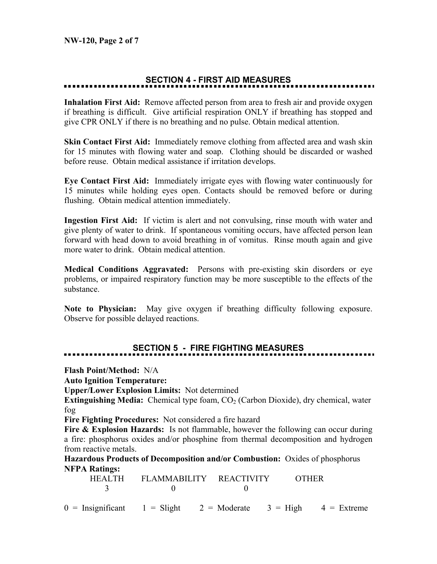## **SECTION 4 - FIRST AID MEASURES**

**Inhalation First Aid:** Remove affected person from area to fresh air and provide oxygen if breathing is difficult. Give artificial respiration ONLY if breathing has stopped and give CPR ONLY if there is no breathing and no pulse. Obtain medical attention.

**Skin Contact First Aid:** Immediately remove clothing from affected area and wash skin for 15 minutes with flowing water and soap. Clothing should be discarded or washed before reuse. Obtain medical assistance if irritation develops.

**Eye Contact First Aid:** Immediately irrigate eyes with flowing water continuously for 15 minutes while holding eyes open. Contacts should be removed before or during flushing. Obtain medical attention immediately.

**Ingestion First Aid:** If victim is alert and not convulsing, rinse mouth with water and give plenty of water to drink. If spontaneous vomiting occurs, have affected person lean forward with head down to avoid breathing in of vomitus. Rinse mouth again and give more water to drink. Obtain medical attention.

**Medical Conditions Aggravated:** Persons with pre-existing skin disorders or eye problems, or impaired respiratory function may be more susceptible to the effects of the substance.

**Note to Physician:** May give oxygen if breathing difficulty following exposure. Observe for possible delayed reactions.

### **SECTION 5 - FIRE FIGHTING MEASURES**

**Flash Point/Method:** N/A

**Auto Ignition Temperature:**

**Upper/Lower Explosion Limits:** Not determined

**Extinguishing Media:** Chemical type foam,  $CO<sub>2</sub>$  (Carbon Dioxide), dry chemical, water fog

**Fire Fighting Procedures:** Not considered a fire hazard

**Fire & Explosion Hazards:** Is not flammable, however the following can occur during a fire: phosphorus oxides and/or phosphine from thermal decomposition and hydrogen from reactive metals.

**Hazardous Products of Decomposition and/or Combustion:** Oxides of phosphorus **NFPA Ratings:** 

|                                                                  | $\overline{3}$ 0 | HEALTH FLAMMABILITY REACTIVITY OTHER |  |
|------------------------------------------------------------------|------------------|--------------------------------------|--|
| $0 =$ Insignificant 1 = Slight 2 = Moderate 3 = High 4 = Extreme |                  |                                      |  |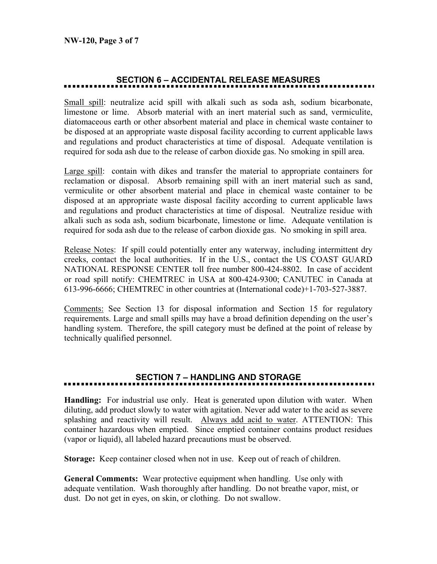## **SECTION 6 – ACCIDENTAL RELEASE MEASURES**

Small spill: neutralize acid spill with alkali such as soda ash, sodium bicarbonate, limestone or lime. Absorb material with an inert material such as sand, vermiculite, diatomaceous earth or other absorbent material and place in chemical waste container to be disposed at an appropriate waste disposal facility according to current applicable laws and regulations and product characteristics at time of disposal. Adequate ventilation is required for soda ash due to the release of carbon dioxide gas. No smoking in spill area.

Large spill: contain with dikes and transfer the material to appropriate containers for reclamation or disposal. Absorb remaining spill with an inert material such as sand, vermiculite or other absorbent material and place in chemical waste container to be disposed at an appropriate waste disposal facility according to current applicable laws and regulations and product characteristics at time of disposal. Neutralize residue with alkali such as soda ash, sodium bicarbonate, limestone or lime. Adequate ventilation is required for soda ash due to the release of carbon dioxide gas. No smoking in spill area.

Release Notes: If spill could potentially enter any waterway, including intermittent dry creeks, contact the local authorities. If in the U.S., contact the US COAST GUARD NATIONAL RESPONSE CENTER toll free number 800-424-8802. In case of accident or road spill notify: CHEMTREC in USA at 800-424-9300; CANUTEC in Canada at 613-996-6666; CHEMTREC in other countries at (International code)+1-703-527-3887.

Comments: See Section 13 for disposal information and Section 15 for regulatory requirements. Large and small spills may have a broad definition depending on the user's handling system. Therefore, the spill category must be defined at the point of release by technically qualified personnel.

## **SECTION 7 – HANDLING AND STORAGE**

**Handling:** For industrial use only. Heat is generated upon dilution with water. When diluting, add product slowly to water with agitation. Never add water to the acid as severe splashing and reactivity will result. Always add acid to water. ATTENTION: This container hazardous when emptied. Since emptied container contains product residues (vapor or liquid), all labeled hazard precautions must be observed.

**Storage:** Keep container closed when not in use. Keep out of reach of children.

**General Comments:** Wear protective equipment when handling. Use only with adequate ventilation. Wash thoroughly after handling. Do not breathe vapor, mist, or dust. Do not get in eyes, on skin, or clothing. Do not swallow.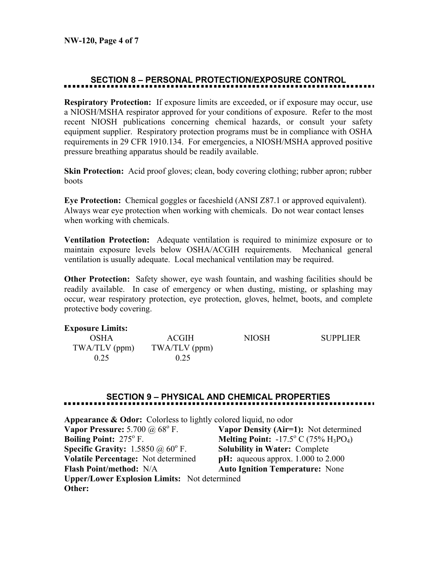## **SECTION 8 – PERSONAL PROTECTION/EXPOSURE CONTROL**

**Respiratory Protection:** If exposure limits are exceeded, or if exposure may occur, use a NIOSH/MSHA respirator approved for your conditions of exposure. Refer to the most recent NIOSH publications concerning chemical hazards, or consult your safety equipment supplier. Respiratory protection programs must be in compliance with OSHA requirements in 29 CFR 1910.134. For emergencies, a NIOSH/MSHA approved positive pressure breathing apparatus should be readily available.

**Skin Protection:** Acid proof gloves; clean, body covering clothing; rubber apron; rubber boots

**Eye Protection:** Chemical goggles or faceshield (ANSI Z87.1 or approved equivalent). Always wear eye protection when working with chemicals. Do not wear contact lenses when working with chemicals.

**Ventilation Protection:** Adequate ventilation is required to minimize exposure or to maintain exposure levels below OSHA/ACGIH requirements. Mechanical general ventilation is usually adequate. Local mechanical ventilation may be required.

**Other Protection:** Safety shower, eye wash fountain, and washing facilities should be readily available. In case of emergency or when dusting, misting, or splashing may occur, wear respiratory protection, eye protection, gloves, helmet, boots, and complete protective body covering.

| <b>Exposure Limits:</b> |               |              |                 |
|-------------------------|---------------|--------------|-----------------|
| OSHA                    | <b>ACGIH</b>  | <b>NIOSH</b> | <b>SUPPLIER</b> |
| $TWA/TLV$ (ppm)         | TWA/TLV (ppm) |              |                 |
| 0.25                    | 0.25          |              |                 |

## **SECTION 9 – PHYSICAL AND CHEMICAL PROPERTIES**

| <b>Appearance &amp; Odor:</b> Colorless to lightly colored liquid, no odor |                                                                               |  |  |  |  |
|----------------------------------------------------------------------------|-------------------------------------------------------------------------------|--|--|--|--|
| Vapor Pressure: $5.700 \ (\omega\ 68^{\circ}\)$ F.                         | Vapor Density (Air=1): Not determined                                         |  |  |  |  |
| <b>Boiling Point: 275° F.</b>                                              | <b>Melting Point:</b> $-17.5^{\circ}$ C (75% H <sub>3</sub> PO <sub>4</sub> ) |  |  |  |  |
| <b>Specific Gravity:</b> 1.5850 $\omega$ 60° F.                            | <b>Solubility in Water: Complete</b>                                          |  |  |  |  |
| Volatile Percentage: Not determined                                        | $pH:$ aqueous approx. 1.000 to 2.000                                          |  |  |  |  |
| <b>Flash Point/method: N/A</b>                                             | <b>Auto Ignition Temperature:</b> None                                        |  |  |  |  |
| <b>Upper/Lower Explosion Limits:</b> Not determined                        |                                                                               |  |  |  |  |
| Other:                                                                     |                                                                               |  |  |  |  |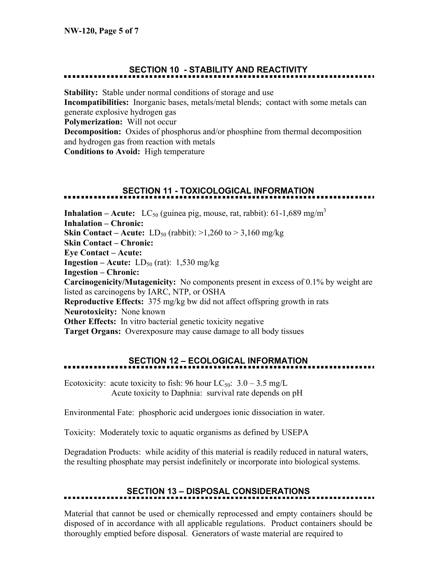## **SECTION 10 - STABILITY AND REACTIVITY**

**Stability:** Stable under normal conditions of storage and use **Incompatibilities:** Inorganic bases, metals/metal blends; contact with some metals can generate explosive hydrogen gas **Polymerization:** Will not occur **Decomposition:** Oxides of phosphorus and/or phosphine from thermal decomposition and hydrogen gas from reaction with metals **Conditions to Avoid:** High temperature

## **SECTION 11 - TOXICOLOGICAL INFORMATION**

**Inhalation – Acute:** LC<sub>50</sub> (guinea pig, mouse, rat, rabbit): 61-1,689 mg/m<sup>3</sup> **Inhalation – Chronic: Skin Contact – Acute:**  $LD_{50}$  (rabbit):  $>1,260$  to  $>3,160$  mg/kg **Skin Contact – Chronic: Eye Contact – Acute: Ingestion – Acute:**  $LD_{50}$  (rat):  $1,530$  mg/kg **Ingestion – Chronic: Carcinogenicity/Mutagenicity:** No components present in excess of 0.1% by weight are listed as carcinogens by IARC, NTP, or OSHA **Reproductive Effects:** 375 mg/kg bw did not affect offspring growth in rats **Neurotoxicity:** None known **Other Effects:** In vitro bacterial genetic toxicity negative **Target Organs:** Overexposure may cause damage to all body tissues

## **SECTION 12 – ECOLOGICAL INFORMATION**

Ecotoxicity: acute toxicity to fish: 96 hour  $LC_{50}$ : 3.0 – 3.5 mg/L Acute toxicity to Daphnia: survival rate depends on pH

Environmental Fate: phosphoric acid undergoes ionic dissociation in water.

Toxicity: Moderately toxic to aquatic organisms as defined by USEPA

Degradation Products: while acidity of this material is readily reduced in natural waters, the resulting phosphate may persist indefinitely or incorporate into biological systems.

## **SECTION 13 – DISPOSAL CONSIDERATIONS**

Material that cannot be used or chemically reprocessed and empty containers should be disposed of in accordance with all applicable regulations. Product containers should be thoroughly emptied before disposal. Generators of waste material are required to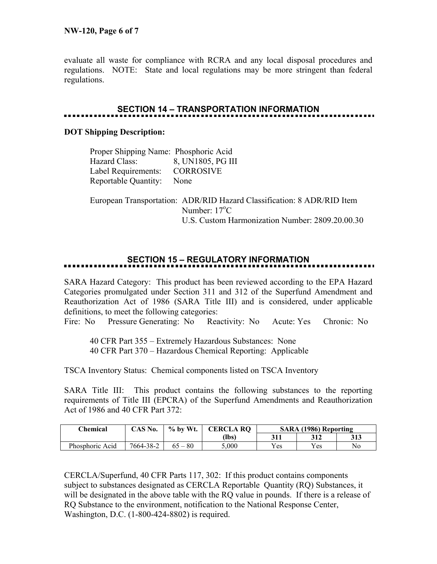evaluate all waste for compliance with RCRA and any local disposal procedures and regulations. NOTE: State and local regulations may be more stringent than federal regulations.

## **SECTION 14 – TRANSPORTATION INFORMATION**

#### **DOT Shipping Description:**

| Proper Shipping Name: Phosphoric Acid |                   |
|---------------------------------------|-------------------|
| Hazard Class:                         | 8, UN1805, PG III |
| Label Requirements:                   | <b>CORROSIVE</b>  |
| <b>Reportable Quantity:</b>           | None              |

 European Transportation: ADR/RID Hazard Classification: 8 ADR/RID Item Number: 17<sup>o</sup>C U.S. Custom Harmonization Number: 2809.20.00.30

## **SECTION 15 – REGULATORY INFORMATION**

SARA Hazard Category: This product has been reviewed according to the EPA Hazard Categories promulgated under Section 311 and 312 of the Superfund Amendment and Reauthorization Act of 1986 (SARA Title III) and is considered, under applicable definitions, to meet the following categories:

Fire: No Pressure Generating: No Reactivity: No Acute: Yes Chronic: No

 40 CFR Part 355 – Extremely Hazardous Substances: None 40 CFR Part 370 – Hazardous Chemical Reporting: Applicable

TSCA Inventory Status: Chemical components listed on TSCA Inventory

SARA Title III: This product contains the following substances to the reporting requirements of Title III (EPCRA) of the Superfund Amendments and Reauthorization Act of 1986 and 40 CFR Part 372:

| $C$ hemical     | CAS No.   | $\%$ by Wt. | <b>CERCLA RO</b> | SARA (1986) Reporting |     |     |
|-----------------|-----------|-------------|------------------|-----------------------|-----|-----|
|                 |           |             | (lbs)            | 311                   | 312 | 313 |
| Phosphoric Acid | 7664-38-2 | 80          | 5.000            | Yes                   | Yes | No  |

CERCLA/Superfund, 40 CFR Parts 117, 302: If this product contains components subject to substances designated as CERCLA Reportable Quantity (RQ) Substances, it will be designated in the above table with the RQ value in pounds. If there is a release of RQ Substance to the environment, notification to the National Response Center, Washington, D.C. (1-800-424-8802) is required.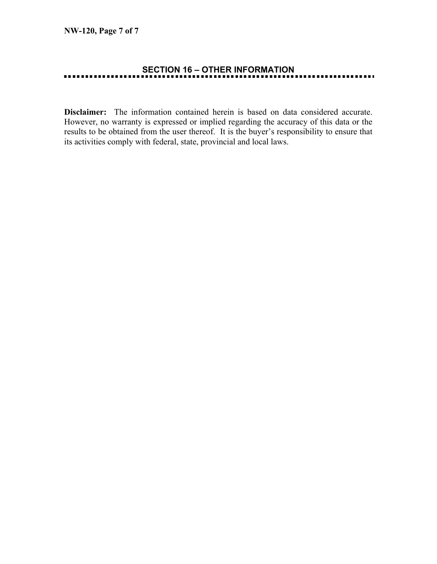## **SECTION 16 – OTHER INFORMATION**

**Disclaimer:** The information contained herein is based on data considered accurate. However, no warranty is expressed or implied regarding the accuracy of this data or the results to be obtained from the user thereof. It is the buyer's responsibility to ensure that its activities comply with federal, state, provincial and local laws.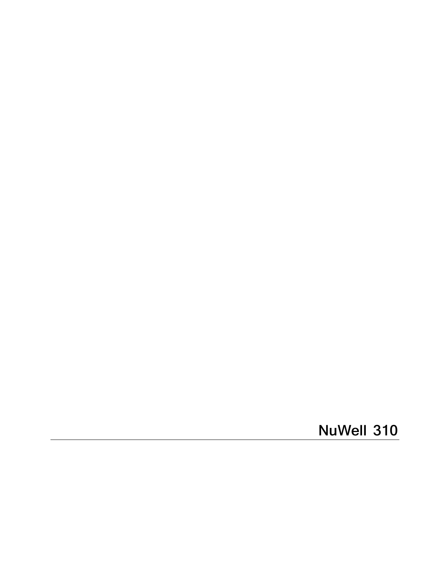**NuWell 310**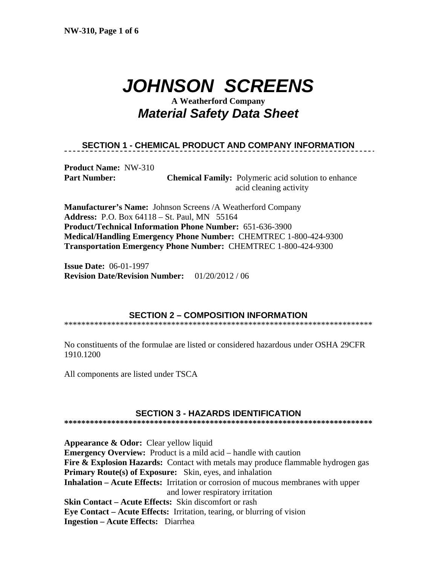# *JOHNSON SCREENS*

## **A Weatherford Company**  *Material Safety Data Sheet*

### **SECTION 1 - CHEMICAL PRODUCT AND COMPANY INFORMATION**

**Product Name:** NW-310

**Part Number: Chemical Family:** Polymeric acid solution to enhance acid cleaning activity

**Manufacturer's Name:** Johnson Screens /A Weatherford Company **Address:** P.O. Box 64118 – St. Paul, MN 55164 **Product/Technical Information Phone Number:** 651-636-3900 **Medical/Handling Emergency Phone Number:** CHEMTREC 1-800-424-9300 **Transportation Emergency Phone Number:** CHEMTREC 1-800-424-9300

**Issue Date:** 06-01-1997 **Revision Date/Revision Number:** 01/20/2012 / 06

### **SECTION 2 – COMPOSITION INFORMATION**

\*\*\*\*\*\*\*\*\*\*\*\*\*\*\*\*\*\*\*\*\*\*\*\*\*\*\*\*\*\*\*\*\*\*\*\*\*\*\*\*\*\*\*\*\*\*\*\*\*\*\*\*\*\*\*\*\*\*\*\*\*\*\*\*\*\*\*\*\*\*\*\*

No constituents of the formulae are listed or considered hazardous under OSHA 29CFR 1910.1200

All components are listed under TSCA

### **SECTION 3 - HAZARDS IDENTIFICATION**

**\*\*\*\*\*\*\*\*\*\*\*\*\*\*\*\*\*\*\*\*\*\*\*\*\*\*\*\*\*\*\*\*\*\*\*\*\*\*\*\*\*\*\*\*\*\*\*\*\*\*\*\*\*\*\*\*\*\*\*\*\*\*\*\*\*\*\*\*\*\*\*\*** 

**Appearance & Odor:** Clear yellow liquid **Emergency Overview:** Product is a mild acid – handle with caution **Fire & Explosion Hazards:** Contact with metals may produce flammable hydrogen gas **Primary Route(s) of Exposure:** Skin, eyes, and inhalation **Inhalation – Acute Effects:** Irritation or corrosion of mucous membranes with upper and lower respiratory irritation **Skin Contact – Acute Effects:** Skin discomfort or rash **Eye Contact – Acute Effects:** Irritation, tearing, or blurring of vision **Ingestion – Acute Effects:** Diarrhea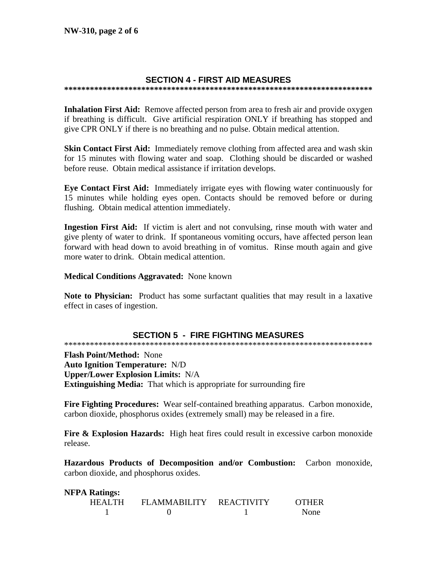### **SECTION 4 - FIRST AID MEASURES**

Inhalation First Aid: Remove affected person from area to fresh air and provide oxygen if breathing is difficult. Give artificial respiration ONLY if breathing has stopped and give CPR ONLY if there is no breathing and no pulse. Obtain medical attention.

Skin Contact First Aid: Immediately remove clothing from affected area and wash skin for 15 minutes with flowing water and soap. Clothing should be discarded or washed before reuse. Obtain medical assistance if irritation develops.

Eye Contact First Aid: Immediately irrigate eyes with flowing water continuously for 15 minutes while holding eyes open. Contacts should be removed before or during flushing. Obtain medical attention immediately.

**Ingestion First Aid:** If victim is alert and not convulsing, rinse mouth with water and give plenty of water to drink. If spontaneous vomiting occurs, have affected person lean forward with head down to avoid breathing in of vomitus. Rinse mouth again and give more water to drink. Obtain medical attention.

**Medical Conditions Aggravated:** None known

**Note to Physician:** Product has some surfactant qualities that may result in a laxative effect in cases of ingestion.

### **SECTION 5 - FIRE FIGHTING MEASURES**

**Flash Point/Method: None Auto Ignition Temperature: N/D Upper/Lower Explosion Limits: N/A Extinguishing Media:** That which is appropriate for surrounding fire

Fire Fighting Procedures: Wear self-contained breathing apparatus. Carbon monoxide, carbon dioxide, phosphorus oxides (extremely small) may be released in a fire.

**Fire & Explosion Hazards:** High heat fires could result in excessive carbon monoxide release.

Hazardous Products of Decomposition and/or Combustion: Carbon monoxide, carbon dioxide, and phosphorus oxides.

| <b>NFPA Ratings:</b> |        |                         |  |              |  |  |
|----------------------|--------|-------------------------|--|--------------|--|--|
|                      | HEALTH | FLAMMABILITY REACTIVITY |  | <b>OTHER</b> |  |  |
|                      |        |                         |  | None         |  |  |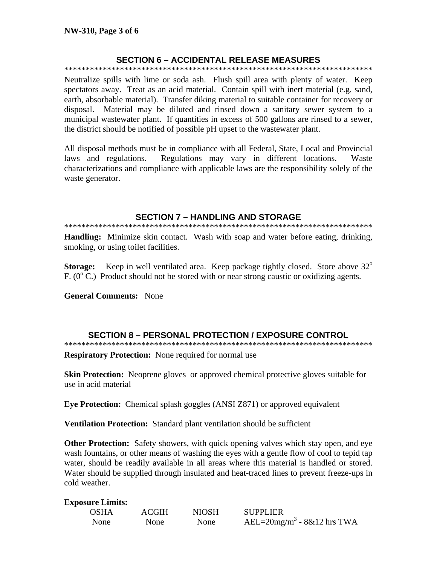### **SECTION 6 - ACCIDENTAL RELEASE MEASURES**

Neutralize spills with lime or soda ash. Flush spill area with plenty of water. Keep spectators away. Treat as an acid material. Contain spill with inert material (e.g. sand, earth, absorbable material). Transfer diking material to suitable container for recovery or disposal. Material may be diluted and rinsed down a sanitary sewer system to a municipal wastewater plant. If quantities in excess of 500 gallons are rinsed to a sewer, the district should be notified of possible pH upset to the wastewater plant.

All disposal methods must be in compliance with all Federal, State, Local and Provincial laws and regulations. Regulations may vary in different locations. Waste characterizations and compliance with applicable laws are the responsibility solely of the waste generator.

#### **SECTION 7 - HANDLING AND STORAGE**

Handling: Minimize skin contact. Wash with soap and water before eating, drinking, smoking, or using toilet facilities.

Keep in well ventilated area. Keep package tightly closed. Store above 32<sup>°</sup> **Storage:** F.  $(0^{\circ}$  C.) Product should not be stored with or near strong caustic or oxidizing agents.

**General Comments: None** 

### **SECTION 8 - PERSONAL PROTECTION / EXPOSURE CONTROL**

**Respiratory Protection:** None required for normal use

**Skin Protection:** Neoprene gloves or approved chemical protective gloves suitable for use in acid material

**Eye Protection:** Chemical splash goggles (ANSI Z871) or approved equivalent

Ventilation Protection: Standard plant ventilation should be sufficient

**Other Protection:** Safety showers, with quick opening valves which stay open, and eve wash fountains, or other means of washing the eyes with a gentle flow of cool to tepid tap water, should be readily available in all areas where this material is handled or stored. Water should be supplied through insulated and heat-traced lines to prevent freeze-ups in cold weather.

#### **Exposure Limits:**

| <b>OSHA</b> | <b>ACGIH</b> | <b>NIOSH</b> | <b>SUPPLIER</b>                              |
|-------------|--------------|--------------|----------------------------------------------|
| <b>None</b> | None         | None         | AEL= $20$ mg/m <sup>3</sup> - $8&12$ hrs TWA |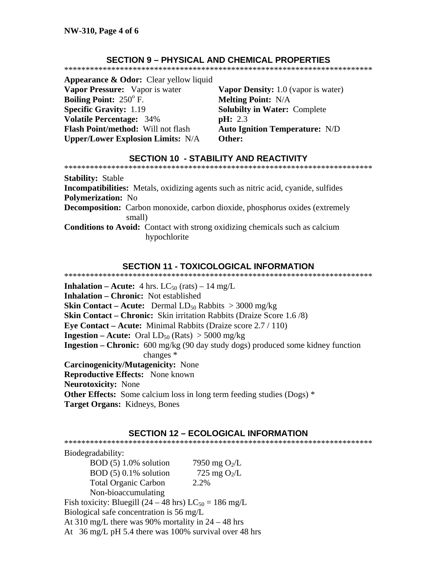### **SECTION 9 - PHYSICAL AND CHEMICAL PROPERTIES**

**Appearance & Odor:** Clear yellow liquid Vapor Pressure: Vapor is water **Boiling Point:**  $250^\circ$  F. **Specific Gravity: 1.19 Volatile Percentage: 34%** Flash Point/method: Will not flash **Upper/Lower Explosion Limits: N/A** 

Vapor Density: 1.0 (vapor is water) **Melting Point: N/A Solubilty in Water: Complete**  $\text{pH: } 2.3$ **Auto Ignition Temperature: N/D** Other:

### **SECTION 10 - STABILITY AND REACTIVITY**

**Stability: Stable** Incompatibilities: Metals, oxidizing agents such as nitric acid, cyanide, sulfides **Polymerization: No Decomposition:** Carbon monoxide, carbon dioxide, phosphorus oxides (extremely small) **Conditions to Avoid:** Contact with strong oxidizing chemicals such as calcium hypochlorite

### **SECTION 11 - TOXICOLOGICAL INFORMATION**

**Inhalation – Acute:** 4 hrs.  $LC_{50}$  (rats) – 14 mg/L **Inhalation – Chronic:** Not established **Skin Contact – Acute:** Dermal  $LD_{50}$  Rabbits  $> 3000$  mg/kg **Skin Contact – Chronic:** Skin irritation Rabbits (Draize Score 1.6/8) **Eye Contact – Acute:** Minimal Rabbits (Draize score  $2.7 / 110$ ) **Ingestion – Acute:** Oral  $LD_{50}$  (Rats)  $> 5000$  mg/kg **Ingestion – Chronic:** 600 mg/kg (90 day study dogs) produced some kidney function changes \* **Carcinogenicity/Mutagenicity: None Reproductive Effects:** None known **Neurotoxicity: None Other Effects:** Some calcium loss in long term feeding studies ( $\text{Dogs}$ )  $*$ Target Organs: Kidneys, Bones

### **SECTION 12 - ECOLOGICAL INFORMATION**

Biodegradability:  $BOD(5) 1.0\%$  solution 7950 mg  $O<sub>2</sub>/L$  $BOD(5) 0.1%$  solution 725 mg  $O_2/L$ **Total Organic Carbon** 2.2% Non-bioaccumulating Fish toxicity: Bluegill (24 – 48 hrs)  $LC_{50} = 186$  mg/L Biological safe concentration is 56 mg/L

At 310 mg/L there was 90% mortality in  $24 - 48$  hrs

At 36 mg/L pH 5.4 there was 100% survival over 48 hrs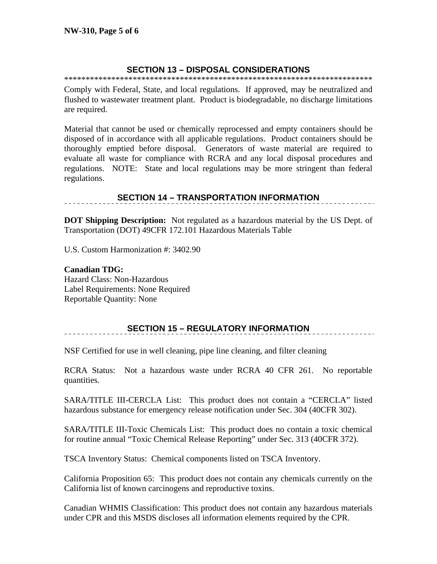### **SECTION 13 – DISPOSAL CONSIDERATIONS**

\*\*\*\*\*\*\*\*\*\*\*\*\*\*\*\*\*\*\*\*\*\*\*\*\*\*\*\*\*\*\*\*\*\*\*\*\*\*\*\*\*\*\*\*\*\*\*\*\*\*\*\*\*\*\*\*\*\*\*\*\*\*\*\*\*\*\*\*\*\*\*\*

Comply with Federal, State, and local regulations. If approved, may be neutralized and flushed to wastewater treatment plant. Product is biodegradable, no discharge limitations are required.

Material that cannot be used or chemically reprocessed and empty containers should be disposed of in accordance with all applicable regulations. Product containers should be thoroughly emptied before disposal. Generators of waste material are required to evaluate all waste for compliance with RCRA and any local disposal procedures and regulations. NOTE: State and local regulations may be more stringent than federal regulations.

### **SECTION 14 – TRANSPORTATION INFORMATION**

**DOT Shipping Description:** Not regulated as a hazardous material by the US Dept. of Transportation (DOT) 49CFR 172.101 Hazardous Materials Table

U.S. Custom Harmonization #: 3402.90

**Canadian TDG:** Hazard Class: Non-Hazardous Label Requirements: None Required Reportable Quantity: None

### **SECTION 15 – REGULATORY INFORMATION**

NSF Certified for use in well cleaning, pipe line cleaning, and filter cleaning

RCRA Status: Not a hazardous waste under RCRA 40 CFR 261. No reportable quantities.

SARA/TITLE III-CERCLA List: This product does not contain a "CERCLA" listed hazardous substance for emergency release notification under Sec. 304 (40CFR 302).

SARA/TITLE III-Toxic Chemicals List: This product does no contain a toxic chemical for routine annual "Toxic Chemical Release Reporting" under Sec. 313 (40CFR 372).

TSCA Inventory Status: Chemical components listed on TSCA Inventory.

California Proposition 65: This product does not contain any chemicals currently on the California list of known carcinogens and reproductive toxins.

Canadian WHMIS Classification: This product does not contain any hazardous materials under CPR and this MSDS discloses all information elements required by the CPR.